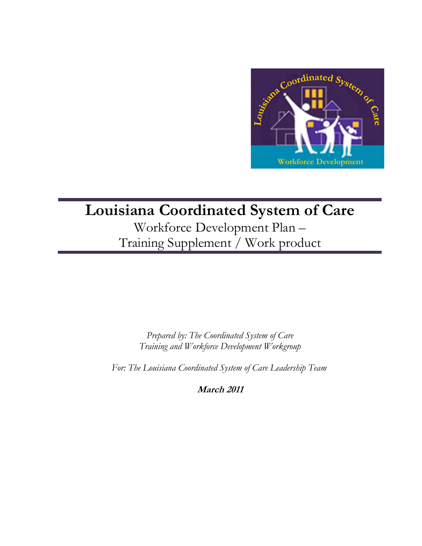

# **Louisiana Coordinated System of Care**

Workforce Development Plan – Training Supplement / Work product

> *Prepared by: The Coordinated System of Care Training and Workforce Development Workgroup*

 *For: The Louisiana Coordinated System of Care Leadership Team* 

**March 2011**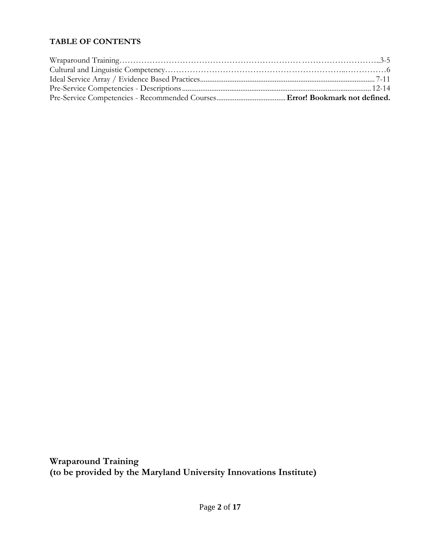## **TABLE OF CONTENTS**

**Wraparound Training (to be provided by the Maryland University Innovations Institute)**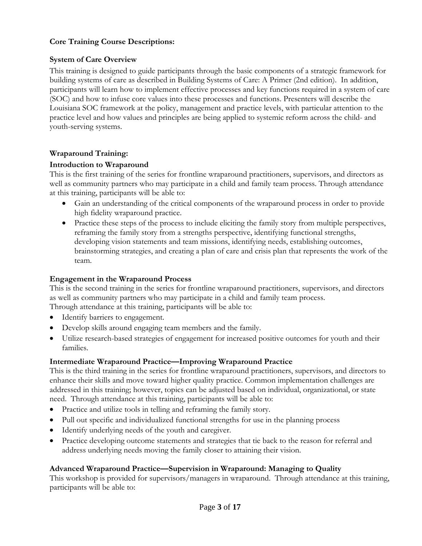#### **Core Training Course Descriptions:**

#### **System of Care Overview**

This training is designed to guide participants through the basic components of a strategic framework for building systems of care as described in Building Systems of Care: A Primer (2nd edition). In addition, participants will learn how to implement effective processes and key functions required in a system of care (SOC) and how to infuse core values into these processes and functions. Presenters will describe the Louisiana SOC framework at the policy, management and practice levels, with particular attention to the practice level and how values and principles are being applied to systemic reform across the child- and youth-serving systems.

#### **Wraparound Training:**

#### **Introduction to Wraparound**

This is the first training of the series for frontline wraparound practitioners, supervisors, and directors as well as community partners who may participate in a child and family team process. Through attendance at this training, participants will be able to:

- Gain an understanding of the critical components of the wraparound process in order to provide high fidelity wraparound practice.
- Practice these steps of the process to include eliciting the family story from multiple perspectives, reframing the family story from a strengths perspective, identifying functional strengths, developing vision statements and team missions, identifying needs, establishing outcomes, brainstorming strategies, and creating a plan of care and crisis plan that represents the work of the team.

#### **Engagement in the Wraparound Process**

This is the second training in the series for frontline wraparound practitioners, supervisors, and directors as well as community partners who may participate in a child and family team process. Through attendance at this training, participants will be able to:

- Identify barriers to engagement.
- Develop skills around engaging team members and the family.
- Utilize research-based strategies of engagement for increased positive outcomes for youth and their families.

#### **Intermediate Wraparound Practice—Improving Wraparound Practice**

This is the third training in the series for frontline wraparound practitioners, supervisors, and directors to enhance their skills and move toward higher quality practice. Common implementation challenges are addressed in this training; however, topics can be adjusted based on individual, organizational, or state need. Through attendance at this training, participants will be able to:

- Practice and utilize tools in telling and reframing the family story.
- Pull out specific and individualized functional strengths for use in the planning process
- Identify underlying needs of the youth and caregiver.
- Practice developing outcome statements and strategies that tie back to the reason for referral and address underlying needs moving the family closer to attaining their vision.

#### **Advanced Wraparound Practice—Supervision in Wraparound: Managing to Quality**

This workshop is provided for supervisors/managers in wraparound. Through attendance at this training, participants will be able to: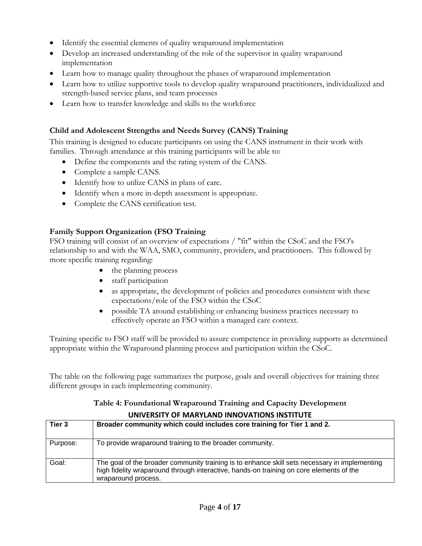- Identify the essential elements of quality wraparound implementation
- Develop an increased understanding of the role of the supervisor in quality wraparound implementation
- Learn how to manage quality throughout the phases of wraparound implementation
- Learn how to utilize supportive tools to develop quality wraparound practitioners, individualized and strength-based service plans, and team processes
- Learn how to transfer knowledge and skills to the workforce

#### **Child and Adolescent Strengths and Needs Survey (CANS) Training**

This training is designed to educate participants on using the CANS instrument in their work with families. Through attendance at this training participants will be able to:

- Define the components and the rating system of the CANS.
- Complete a sample CANS.
- Identify how to utilize CANS in plans of care.
- Identify when a more in-depth assessment is appropriate.
- Complete the CANS certification test.

#### **Family Support Organization (FSO Training**

FSO training will consist of an overview of expectations / "fit" within the CSoC and the FSO's relationship to and with the WAA, SMO, community, providers, and practitioners. This followed by more specific training regarding:

- the planning process
- staff participation
- as appropriate, the development of policies and procedures consistent with these expectations/role of the FSO within the CSoC
- possible TA around establishing or enhancing business practices necessary to effectively operate an FSO within a managed care context.

Training specific to FSO staff will be provided to assure competence in providing supports as determined appropriate within the Wraparound planning process and participation within the CSoC.

The table on the following page summarizes the purpose, goals and overall objectives for training three different groups in each implementing community.

#### **Table 4: Foundational Wraparound Training and Capacity Development UNIVERSITY OF MARYLAND INNOVATIONS INSTITUTE**

| Tier 3   | Broader community which could includes core training for Tier 1 and 2.                                                                                                                                          |
|----------|-----------------------------------------------------------------------------------------------------------------------------------------------------------------------------------------------------------------|
| Purpose: | To provide wraparound training to the broader community.                                                                                                                                                        |
| Goal:    | The goal of the broader community training is to enhance skill sets necessary in implementing<br>high fidelity wraparound through interactive, hands-on training on core elements of the<br>wraparound process. |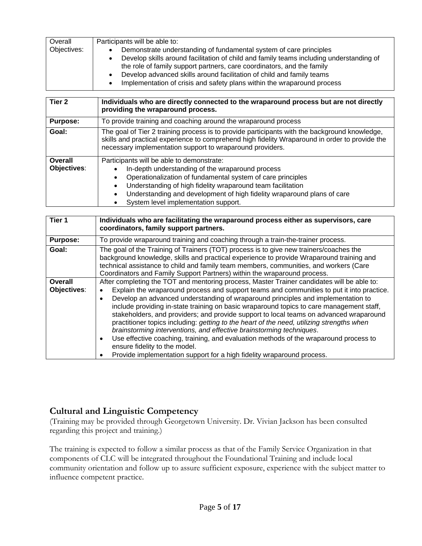| Overall     | Participants will be able to:                                                                                                                                                  |
|-------------|--------------------------------------------------------------------------------------------------------------------------------------------------------------------------------|
| Objectives: | Demonstrate understanding of fundamental system of care principles                                                                                                             |
|             | Develop skills around facilitation of child and family teams including understanding of<br>$\bullet$<br>the role of family support partners, care coordinators, and the family |
|             | Develop advanced skills around facilitation of child and family teams<br>Implementation of crisis and safety plans within the wraparound process<br>٠                          |

| Tier <sub>2</sub>      | Individuals who are directly connected to the wraparound process but are not directly<br>providing the wraparound process.                                                                                                                                                                                                                     |
|------------------------|------------------------------------------------------------------------------------------------------------------------------------------------------------------------------------------------------------------------------------------------------------------------------------------------------------------------------------------------|
| <b>Purpose:</b>        | To provide training and coaching around the wraparound process                                                                                                                                                                                                                                                                                 |
| Goal:                  | The goal of Tier 2 training process is to provide participants with the background knowledge,<br>skills and practical experience to comprehend high fidelity Wraparound in order to provide the<br>necessary implementation support to wraparound providers.                                                                                   |
| Overall<br>Objectives: | Participants will be able to demonstrate:<br>In-depth understanding of the wraparound process<br>Operationalization of fundamental system of care principles<br>Understanding of high fidelity wraparound team facilitation<br>Understanding and development of high fidelity wraparound plans of care<br>System level implementation support. |

| Individuals who are facilitating the wraparound process either as supervisors, care<br>coordinators, family support partners.                                                                                                                                                                                                                                                                                                                                                                                                                                                                                                                                                                                                                                                                                                                                        |  |  |
|----------------------------------------------------------------------------------------------------------------------------------------------------------------------------------------------------------------------------------------------------------------------------------------------------------------------------------------------------------------------------------------------------------------------------------------------------------------------------------------------------------------------------------------------------------------------------------------------------------------------------------------------------------------------------------------------------------------------------------------------------------------------------------------------------------------------------------------------------------------------|--|--|
| To provide wraparound training and coaching through a train-the-trainer process.                                                                                                                                                                                                                                                                                                                                                                                                                                                                                                                                                                                                                                                                                                                                                                                     |  |  |
| The goal of the Training of Trainers (TOT) process is to give new trainers/coaches the<br>background knowledge, skills and practical experience to provide Wraparound training and<br>technical assistance to child and family team members, communities, and workers (Care<br>Coordinators and Family Support Partners) within the wraparound process.                                                                                                                                                                                                                                                                                                                                                                                                                                                                                                              |  |  |
| After completing the TOT and mentoring process, Master Trainer candidates will be able to:<br>Explain the wraparound process and support teams and communities to put it into practice.<br>Develop an advanced understanding of wraparound principles and implementation to<br>$\bullet$<br>include providing in-state training on basic wraparound topics to care management staff,<br>stakeholders, and providers; and provide support to local teams on advanced wraparound<br>practitioner topics including: getting to the heart of the need, utilizing strengths when<br>brainstorming interventions, and effective brainstorming techniques.<br>Use effective coaching, training, and evaluation methods of the wraparound process to<br>$\bullet$<br>ensure fidelity to the model.<br>Provide implementation support for a high fidelity wraparound process. |  |  |
|                                                                                                                                                                                                                                                                                                                                                                                                                                                                                                                                                                                                                                                                                                                                                                                                                                                                      |  |  |

#### **Cultural and Linguistic Competency**

(Training may be provided through Georgetown University. Dr. Vivian Jackson has been consulted regarding this project and training.)

The training is expected to follow a similar process as that of the Family Service Organization in that components of CLC will be integrated throughout the Foundational Training and include local community orientation and follow up to assure sufficient exposure, experience with the subject matter to influence competent practice.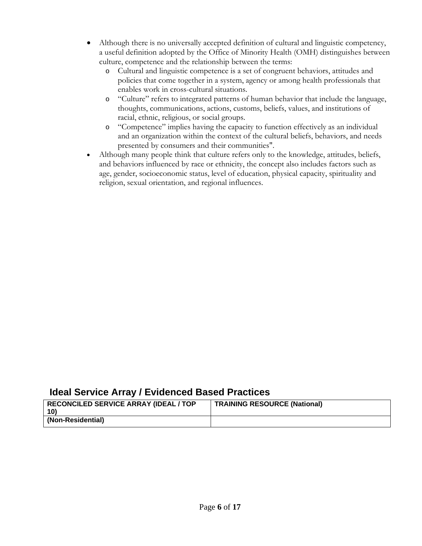- Although there is no universally accepted definition of cultural and linguistic competency, a useful definition adopted by the Office of Minority Health (OMH) distinguishes between culture, competence and the relationship between the terms:
	- o Cultural and linguistic competence is a set of congruent behaviors, attitudes and policies that come together in a system, agency or among health professionals that enables work in cross-cultural situations.
	- o "Culture" refers to integrated patterns of human behavior that include the language, thoughts, communications, actions, customs, beliefs, values, and institutions of racial, ethnic, religious, or social groups.
	- o "Competence" implies having the capacity to function effectively as an individual and an organization within the context of the cultural beliefs, behaviors, and needs presented by consumers and their communities".
- Although many people think that culture refers only to the knowledge, attitudes, beliefs, and behaviors influenced by race or ethnicity, the concept also includes factors such as age, gender, socioeconomic status, level of education, physical capacity, spirituality and religion, sexual orientation, and regional influences.

## **Ideal Service Array / Evidenced Based Practices**

| <b>RECONCILED SERVICE ARRAY (IDEAL / TOP</b><br>10) | <b>TRAINING RESOURCE (National)</b> |
|-----------------------------------------------------|-------------------------------------|
| (Non-Residential)                                   |                                     |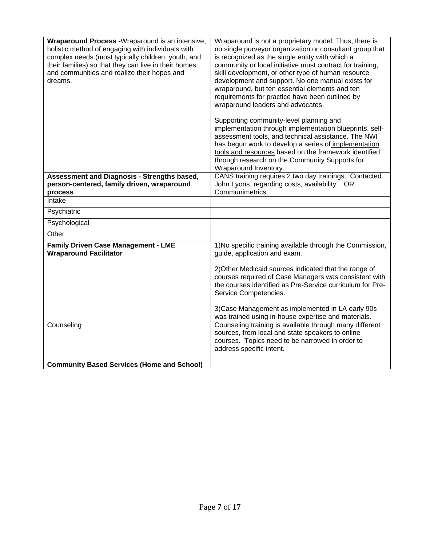| Wraparound Process -Wraparound is an intensive,<br>holistic method of engaging with individuals with<br>complex needs (most typically children, youth, and<br>their families) so that they can live in their homes<br>and communities and realize their hopes and<br>dreams. | Wraparound is not a proprietary model. Thus, there is<br>no single purveyor organization or consultant group that<br>is recognized as the single entity with which a<br>community or local initiative must contract for training,<br>skill development, or other type of human resource<br>development and support. No one manual exists for<br>wraparound, but ten essential elements and ten<br>requirements for practice have been outlined by<br>wraparound leaders and advocates. |
|------------------------------------------------------------------------------------------------------------------------------------------------------------------------------------------------------------------------------------------------------------------------------|----------------------------------------------------------------------------------------------------------------------------------------------------------------------------------------------------------------------------------------------------------------------------------------------------------------------------------------------------------------------------------------------------------------------------------------------------------------------------------------|
|                                                                                                                                                                                                                                                                              | Supporting community-level planning and<br>implementation through implementation blueprints, self-<br>assessment tools, and technical assistance. The NWI<br>has begun work to develop a series of implementation<br>tools and resources based on the framework identified<br>through research on the Community Supports for<br>Wraparound Inventory.                                                                                                                                  |
| Assessment and Diagnosis - Strengths based,<br>person-centered, family driven, wraparound                                                                                                                                                                                    | CANS training requires 2 two day trainings. Contacted<br>John Lyons, regarding costs, availability. OR                                                                                                                                                                                                                                                                                                                                                                                 |
| process                                                                                                                                                                                                                                                                      | Communimetrics.                                                                                                                                                                                                                                                                                                                                                                                                                                                                        |
| Intake                                                                                                                                                                                                                                                                       |                                                                                                                                                                                                                                                                                                                                                                                                                                                                                        |
| Psychiatric                                                                                                                                                                                                                                                                  |                                                                                                                                                                                                                                                                                                                                                                                                                                                                                        |
| Psychological                                                                                                                                                                                                                                                                |                                                                                                                                                                                                                                                                                                                                                                                                                                                                                        |
| Other                                                                                                                                                                                                                                                                        |                                                                                                                                                                                                                                                                                                                                                                                                                                                                                        |
| <b>Family Driven Case Management - LME</b><br><b>Wraparound Facilitator</b>                                                                                                                                                                                                  | 1) No specific training available through the Commission,<br>guide, application and exam.                                                                                                                                                                                                                                                                                                                                                                                              |
|                                                                                                                                                                                                                                                                              | 2) Other Medicaid sources indicated that the range of<br>courses required of Case Managers was consistent with<br>the courses identified as Pre-Service curriculum for Pre-<br>Service Competencies.                                                                                                                                                                                                                                                                                   |
|                                                                                                                                                                                                                                                                              | 3) Case Management as implemented in LA early 90s<br>was trained using in-house expertise and materials.                                                                                                                                                                                                                                                                                                                                                                               |
| Counseling                                                                                                                                                                                                                                                                   | Counseling training is available through many different<br>sources, from local and state speakers to online<br>courses. Topics need to be narrowed in order to<br>address specific intent.                                                                                                                                                                                                                                                                                             |
| <b>Community Based Services (Home and School)</b>                                                                                                                                                                                                                            |                                                                                                                                                                                                                                                                                                                                                                                                                                                                                        |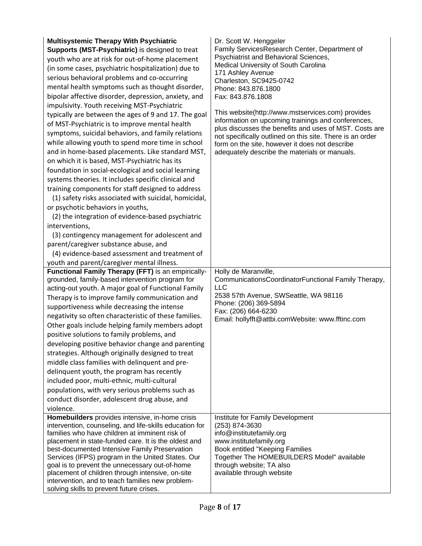| <b>Multisystemic Therapy With Psychiatric</b><br>Supports (MST-Psychiatric) is designed to treat<br>youth who are at risk for out-of-home placement<br>(in some cases, psychiatric hospitalization) due to<br>serious behavioral problems and co-occurring<br>mental health symptoms such as thought disorder,<br>bipolar affective disorder, depression, anxiety, and<br>impulsivity. Youth receiving MST-Psychiatric<br>typically are between the ages of 9 and 17. The goal<br>of MST-Psychiatric is to improve mental health<br>symptoms, suicidal behaviors, and family relations<br>while allowing youth to spend more time in school<br>and in home-based placements. Like standard MST,<br>on which it is based, MST-Psychiatric has its<br>foundation in social-ecological and social learning<br>systems theories. It includes specific clinical and<br>training components for staff designed to address<br>(1) safety risks associated with suicidal, homicidal,<br>or psychotic behaviors in youths,<br>(2) the integration of evidence-based psychiatric<br>interventions,<br>(3) contingency management for adolescent and<br>parent/caregiver substance abuse, and<br>(4) evidence-based assessment and treatment of<br>youth and parent/caregiver mental illness.<br>Functional Family Therapy (FFT) is an empirically-<br>grounded, family-based intervention program for<br>acting-out youth. A major goal of Functional Family<br>Therapy is to improve family communication and<br>supportiveness while decreasing the intense<br>negativity so often characteristic of these families.<br>Other goals include helping family members adopt | Dr. Scott W. Henggeler<br>Family ServicesResearch Center, Department of<br>Psychiatrist and Behavioral Sciences,<br>Medical University of South Carolina<br>171 Ashley Avenue<br>Charleston, SC9425-0742<br>Phone: 843.876.1800<br>Fax: 843.876.1808<br>This website(http://www.mstservices.com) provides<br>information on upcoming trainings and conferences,<br>plus discusses the benefits and uses of MST. Costs are<br>not specifically outlined on this site. There is an order<br>form on the site, however it does not describe<br>adequately describe the materials or manuals.<br>Holly de Maranville,<br>CommunicationsCoordinatorFunctional Family Therapy,<br><b>LLC</b><br>2538 57th Avenue, SWSeattle, WA 98116<br>Phone: (206) 369-5894<br>Fax: (206) 664-6230<br>Email: hollyfft@attbi.comWebsite: www.fftinc.com |
|------------------------------------------------------------------------------------------------------------------------------------------------------------------------------------------------------------------------------------------------------------------------------------------------------------------------------------------------------------------------------------------------------------------------------------------------------------------------------------------------------------------------------------------------------------------------------------------------------------------------------------------------------------------------------------------------------------------------------------------------------------------------------------------------------------------------------------------------------------------------------------------------------------------------------------------------------------------------------------------------------------------------------------------------------------------------------------------------------------------------------------------------------------------------------------------------------------------------------------------------------------------------------------------------------------------------------------------------------------------------------------------------------------------------------------------------------------------------------------------------------------------------------------------------------------------------------------------------------------------------------------------------------------------|-------------------------------------------------------------------------------------------------------------------------------------------------------------------------------------------------------------------------------------------------------------------------------------------------------------------------------------------------------------------------------------------------------------------------------------------------------------------------------------------------------------------------------------------------------------------------------------------------------------------------------------------------------------------------------------------------------------------------------------------------------------------------------------------------------------------------------------|
| positive solutions to family problems, and<br>developing positive behavior change and parenting<br>strategies. Although originally designed to treat<br>middle class families with delinquent and pre-<br>delinquent youth, the program has recently<br>included poor, multi-ethnic, multi-cultural<br>populations, with very serious problems such as<br>conduct disorder, adolescent drug abuse, and<br>violence.                                                                                                                                                                                                                                                                                                                                                                                                                                                                                                                                                                                                                                                                                                                                                                                                                                                                                                                                                                                                                                                                                                                                                                                                                                              |                                                                                                                                                                                                                                                                                                                                                                                                                                                                                                                                                                                                                                                                                                                                                                                                                                     |
| Homebuilders provides intensive, in-home crisis<br>intervention, counseling, and life-skills education for                                                                                                                                                                                                                                                                                                                                                                                                                                                                                                                                                                                                                                                                                                                                                                                                                                                                                                                                                                                                                                                                                                                                                                                                                                                                                                                                                                                                                                                                                                                                                       | Institute for Family Development<br>(253) 874-3630                                                                                                                                                                                                                                                                                                                                                                                                                                                                                                                                                                                                                                                                                                                                                                                  |
| families who have children at imminent risk of<br>placement in state-funded care. It is the oldest and<br>best-documented Intensive Family Preservation<br>Services (IFPS) program in the United States. Our<br>goal is to prevent the unnecessary out-of-home<br>placement of children through intensive, on-site<br>intervention, and to teach families new problem-<br>solving skills to prevent future crises.                                                                                                                                                                                                                                                                                                                                                                                                                                                                                                                                                                                                                                                                                                                                                                                                                                                                                                                                                                                                                                                                                                                                                                                                                                               | info@institutefamily.org<br>www.institutefamily.org<br>Book entitled "Keeping Families<br>Together The HOMEBUILDERS Model" available<br>through website; TA also<br>available through website                                                                                                                                                                                                                                                                                                                                                                                                                                                                                                                                                                                                                                       |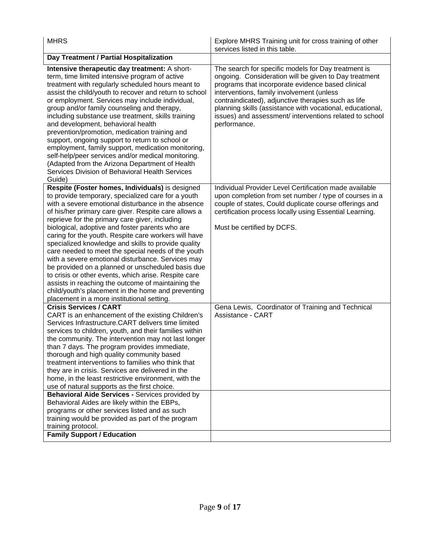| <b>MHRS</b>                                                                                                                                                                                                                                                                                                                                                                                                                                                                                                                                                                                                                                                                                                                                                                                                                                   | Explore MHRS Training unit for cross training of other<br>services listed in this table.                                                                                                                                                                                                                                                                                                                      |
|-----------------------------------------------------------------------------------------------------------------------------------------------------------------------------------------------------------------------------------------------------------------------------------------------------------------------------------------------------------------------------------------------------------------------------------------------------------------------------------------------------------------------------------------------------------------------------------------------------------------------------------------------------------------------------------------------------------------------------------------------------------------------------------------------------------------------------------------------|---------------------------------------------------------------------------------------------------------------------------------------------------------------------------------------------------------------------------------------------------------------------------------------------------------------------------------------------------------------------------------------------------------------|
| Day Treatment / Partial Hospitalization                                                                                                                                                                                                                                                                                                                                                                                                                                                                                                                                                                                                                                                                                                                                                                                                       |                                                                                                                                                                                                                                                                                                                                                                                                               |
| Intensive therapeutic day treatment: A short-<br>term, time limited intensive program of active<br>treatment with regularly scheduled hours meant to<br>assist the child/youth to recover and return to school<br>or employment. Services may include individual,<br>group and/or family counseling and therapy,<br>including substance use treatment, skills training<br>and development, behavioral health<br>prevention/promotion, medication training and<br>support, ongoing support to return to school or<br>employment, family support, medication monitoring,<br>self-help/peer services and/or medical monitoring.<br>(Adapted from the Arizona Department of Health<br>Services Division of Behavioral Health Services<br>Guide)                                                                                                   | The search for specific models for Day treatment is<br>ongoing. Consideration will be given to Day treatment<br>programs that incorporate evidence based clinical<br>interventions, family involvement (unless<br>contraindicated), adjunctive therapies such as life<br>planning skills (assistance with vocational, educational,<br>issues) and assessment/ interventions related to school<br>performance. |
| Respite (Foster homes, Individuals) is designed<br>to provide temporary, specialized care for a youth<br>with a severe emotional disturbance in the absence<br>of his/her primary care giver. Respite care allows a<br>reprieve for the primary care giver, including<br>biological, adoptive and foster parents who are<br>caring for the youth. Respite care workers will have<br>specialized knowledge and skills to provide quality<br>care needed to meet the special needs of the youth<br>with a severe emotional disturbance. Services may<br>be provided on a planned or unscheduled basis due<br>to crisis or other events, which arise. Respite care<br>assists in reaching the outcome of maintaining the<br>child/youth's placement in the home and preventing<br>placement in a more institutional setting.                     | Individual Provider Level Certification made available<br>upon completion from set number / type of courses in a<br>couple of states, Could duplicate course offerings and<br>certification process locally using Essential Learning.<br>Must be certified by DCFS.                                                                                                                                           |
| <b>Crisis Services / CART</b><br>CART is an enhancement of the existing Children's<br>Services Infrastructure.CART delivers time limited<br>services to children, youth, and their families within<br>the community. The intervention may not last longer<br>than 7 days. The program provides immediate,<br>thorough and high quality community based<br>treatment interventions to families who think that<br>they are in crisis. Services are delivered in the<br>home, in the least restrictive environment, with the<br>use of natural supports as the first choice.<br>Behavioral Aide Services - Services provided by<br>Behavioral Aides are likely within the EBPs,<br>programs or other services listed and as such<br>training would be provided as part of the program<br>training protocol.<br><b>Family Support / Education</b> | Gena Lewis, Coordinator of Training and Technical<br>Assistance - CART                                                                                                                                                                                                                                                                                                                                        |
|                                                                                                                                                                                                                                                                                                                                                                                                                                                                                                                                                                                                                                                                                                                                                                                                                                               |                                                                                                                                                                                                                                                                                                                                                                                                               |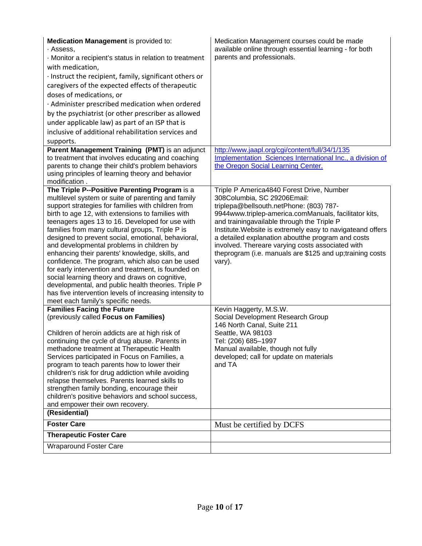| Medication Management is provided to:<br>· Assess,<br>Monitor a recipient's status in relation to treatment<br>with medication,<br>· Instruct the recipient, family, significant others or<br>caregivers of the expected effects of therapeutic<br>doses of medications, or<br>· Administer prescribed medication when ordered<br>by the psychiatrist (or other prescriber as allowed<br>under applicable law) as part of an ISP that is<br>inclusive of additional rehabilitation services and<br>supports.<br>Parent Management Training (PMT) is an adjunct                                                                                                                                                                                                                                 | Medication Management courses could be made<br>available online through essential learning - for both<br>parents and professionals.<br>http://www.jaapl.org/cgi/content/full/34/1/135                                                                                                                                                                                                                                                                                    |
|------------------------------------------------------------------------------------------------------------------------------------------------------------------------------------------------------------------------------------------------------------------------------------------------------------------------------------------------------------------------------------------------------------------------------------------------------------------------------------------------------------------------------------------------------------------------------------------------------------------------------------------------------------------------------------------------------------------------------------------------------------------------------------------------|--------------------------------------------------------------------------------------------------------------------------------------------------------------------------------------------------------------------------------------------------------------------------------------------------------------------------------------------------------------------------------------------------------------------------------------------------------------------------|
| to treatment that involves educating and coaching<br>parents to change their child's problem behaviors<br>using principles of learning theory and behavior<br>modification.                                                                                                                                                                                                                                                                                                                                                                                                                                                                                                                                                                                                                    | Implementation Sciences International Inc., a division of<br>the Oregon Social Learning Center.                                                                                                                                                                                                                                                                                                                                                                          |
| The Triple P--Positive Parenting Program is a<br>multilevel system or suite of parenting and family<br>support strategies for families with children from<br>birth to age 12, with extensions to families with<br>teenagers ages 13 to 16. Developed for use with<br>families from many cultural groups, Triple P is<br>designed to prevent social, emotional, behavioral,<br>and developmental problems in children by<br>enhancing their parents' knowledge, skills, and<br>confidence. The program, which also can be used<br>for early intervention and treatment, is founded on<br>social learning theory and draws on cognitive,<br>developmental, and public health theories. Triple P<br>has five intervention levels of increasing intensity to<br>meet each family's specific needs. | Triple P America4840 Forest Drive, Number<br>308Columbia, SC 29206Email:<br>triplepa@bellsouth.netPhone: (803) 787-<br>9944www.triplep-america.comManuals, facilitator kits,<br>and trainingavailable through the Triple P<br>Institute. Website is extremely easy to navigateand offers<br>a detailed explanation aboutthe program and costs<br>involved. Thereare varying costs associated with<br>theprogram (i.e. manuals are \$125 and up; training costs<br>vary). |
| <b>Families Facing the Future</b><br>(previously called Focus on Families)<br>Children of heroin addicts are at high risk of<br>continuing the cycle of drug abuse. Parents in<br>methadone treatment at Therapeutic Health<br>Services participated in Focus on Families, a<br>program to teach parents how to lower their<br>children's risk for drug addiction while avoiding<br>relapse themselves. Parents learned skills to<br>strengthen family bonding, encourage their<br>children's positive behaviors and school success,<br>and empower their own recovery.<br>(Residential)                                                                                                                                                                                                       | Kevin Haggerty, M.S.W.<br>Social Development Research Group<br>146 North Canal, Suite 211<br>Seattle, WA 98103<br>Tel: (206) 685-1997<br>Manual available, though not fully<br>developed; call for update on materials<br>and TA                                                                                                                                                                                                                                         |
| <b>Foster Care</b>                                                                                                                                                                                                                                                                                                                                                                                                                                                                                                                                                                                                                                                                                                                                                                             | Must be certified by DCFS                                                                                                                                                                                                                                                                                                                                                                                                                                                |
| <b>Therapeutic Foster Care</b>                                                                                                                                                                                                                                                                                                                                                                                                                                                                                                                                                                                                                                                                                                                                                                 |                                                                                                                                                                                                                                                                                                                                                                                                                                                                          |
| <b>Wraparound Foster Care</b>                                                                                                                                                                                                                                                                                                                                                                                                                                                                                                                                                                                                                                                                                                                                                                  |                                                                                                                                                                                                                                                                                                                                                                                                                                                                          |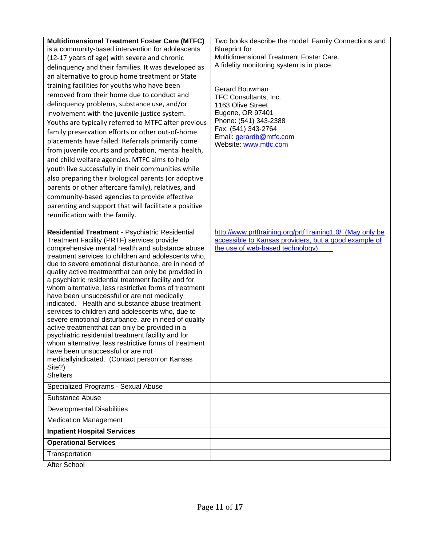| <b>Multidimensional Treatment Foster Care (MTFC)</b><br>is a community-based intervention for adolescents<br>(12-17 years of age) with severe and chronic<br>delinquency and their families. It was developed as<br>an alternative to group home treatment or State<br>training facilities for youths who have been<br>removed from their home due to conduct and<br>delinquency problems, substance use, and/or<br>involvement with the juvenile justice system.<br>Youths are typically referred to MTFC after previous<br>family preservation efforts or other out-of-home<br>placements have failed. Referrals primarily come<br>from juvenile courts and probation, mental health,<br>and child welfare agencies. MTFC aims to help<br>youth live successfully in their communities while<br>also preparing their biological parents (or adoptive<br>parents or other aftercare family), relatives, and<br>community-based agencies to provide effective<br>parenting and support that will facilitate a positive<br>reunification with the family. | Two books describe the model: Family Connections and<br><b>Blueprint for</b><br>Multidimensional Treatment Foster Care.<br>A fidelity monitoring system is in place.<br>Gerard Bouwman<br>TFC Consultants, Inc.<br>1163 Olive Street<br>Eugene, OR 97401<br>Phone: (541) 343-2388<br>Fax: (541) 343-2764<br>Email: gerardb@mtfc.com<br>Website: www.mtfc.com |
|----------------------------------------------------------------------------------------------------------------------------------------------------------------------------------------------------------------------------------------------------------------------------------------------------------------------------------------------------------------------------------------------------------------------------------------------------------------------------------------------------------------------------------------------------------------------------------------------------------------------------------------------------------------------------------------------------------------------------------------------------------------------------------------------------------------------------------------------------------------------------------------------------------------------------------------------------------------------------------------------------------------------------------------------------------|--------------------------------------------------------------------------------------------------------------------------------------------------------------------------------------------------------------------------------------------------------------------------------------------------------------------------------------------------------------|
| Residential Treatment - Psychiatric Residential<br>Treatment Facility (PRTF) services provide<br>comprehensive mental health and substance abuse<br>treatment services to children and adolescents who,<br>due to severe emotional disturbance, are in need of<br>quality active treatment that can only be provided in<br>a psychiatric residential treatment facility and for<br>whom alternative, less restrictive forms of treatment<br>have been unsuccessful or are not medically<br>indicated. Health and substance abuse treatment<br>services to children and adolescents who, due to<br>severe emotional disturbance, are in need of quality<br>active treatmentthat can only be provided in a<br>psychiatric residential treatment facility and for<br>whom alternative, less restrictive forms of treatment<br>have been unsuccessful or are not<br>medicallyindicated. (Contact person on Kansas<br>Site?)<br><b>Shelters</b>                                                                                                               | http://www.prtftraining.org/prtfTraining1.0/ (May only be<br>accessible to Kansas providers, but a good example of<br>the use of web-based technology)                                                                                                                                                                                                       |
| Specialized Programs - Sexual Abuse                                                                                                                                                                                                                                                                                                                                                                                                                                                                                                                                                                                                                                                                                                                                                                                                                                                                                                                                                                                                                      |                                                                                                                                                                                                                                                                                                                                                              |
| Substance Abuse                                                                                                                                                                                                                                                                                                                                                                                                                                                                                                                                                                                                                                                                                                                                                                                                                                                                                                                                                                                                                                          |                                                                                                                                                                                                                                                                                                                                                              |
| <b>Developmental Disabilities</b>                                                                                                                                                                                                                                                                                                                                                                                                                                                                                                                                                                                                                                                                                                                                                                                                                                                                                                                                                                                                                        |                                                                                                                                                                                                                                                                                                                                                              |
| <b>Medication Management</b>                                                                                                                                                                                                                                                                                                                                                                                                                                                                                                                                                                                                                                                                                                                                                                                                                                                                                                                                                                                                                             |                                                                                                                                                                                                                                                                                                                                                              |
| <b>Inpatient Hospital Services</b>                                                                                                                                                                                                                                                                                                                                                                                                                                                                                                                                                                                                                                                                                                                                                                                                                                                                                                                                                                                                                       |                                                                                                                                                                                                                                                                                                                                                              |
| <b>Operational Services</b>                                                                                                                                                                                                                                                                                                                                                                                                                                                                                                                                                                                                                                                                                                                                                                                                                                                                                                                                                                                                                              |                                                                                                                                                                                                                                                                                                                                                              |
| Transportation                                                                                                                                                                                                                                                                                                                                                                                                                                                                                                                                                                                                                                                                                                                                                                                                                                                                                                                                                                                                                                           |                                                                                                                                                                                                                                                                                                                                                              |
|                                                                                                                                                                                                                                                                                                                                                                                                                                                                                                                                                                                                                                                                                                                                                                                                                                                                                                                                                                                                                                                          |                                                                                                                                                                                                                                                                                                                                                              |

After School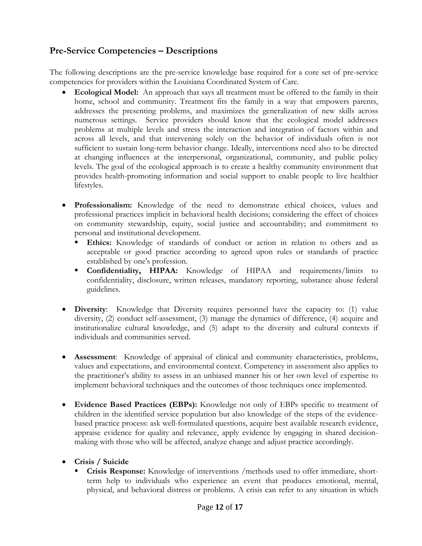## **Pre-Service Competencies – Descriptions**

The following descriptions are the pre-service knowledge base required for a core set of pre-service competencies for providers within the Louisiana Coordinated System of Care.

- **Ecological Model:** An approach that says all treatment must be offered to the family in their home, school and community. Treatment fits the family in a way that empowers parents, addresses the presenting problems, and maximizes the generalization of new skills across numerous settings. Service providers should know that the ecological model addresses problems at multiple levels and stress the interaction and integration of factors within and across all levels, and that intervening solely on the behavior of individuals often is not sufficient to sustain long-term behavior change. Ideally, interventions need also to be directed at changing influences at the interpersonal, organizational, community, and public policy levels. The goal of the ecological approach is to create a healthy community environment that provides health-promoting information and social support to enable people to live healthier lifestyles.
- **Professionalism:** Knowledge of the need to demonstrate ethical choices, values and professional practices implicit in behavioral health decisions; considering the effect of choices on community stewardship, equity, social justice and accountability; and commitment to personal and institutional development.
	- **Ethics:** Knowledge of standards of conduct or action in relation to others and as acceptable or good practice according to agreed upon rules or standards of practice established by one's profession.
	- **Confidentiality, HIPAA:** Knowledge of HIPAA and requirements/limits to confidentiality, disclosure, written releases, mandatory reporting, substance abuse federal guidelines.
- **Diversity**: Knowledge that Diversity requires personnel have the capacity to: (1) value diversity, (2) conduct self-assessment, (3) manage the dynamics of difference, (4) acquire and institutionalize cultural knowledge, and (5) adapt to the diversity and cultural contexts if individuals and communities served.
- **Assessment**: Knowledge of appraisal of clinical and community characteristics, problems, values and expectations, and environmental context. Competency in assessment also applies to the practitioner's ability to assess in an unbiased manner his or her own level of expertise to implement behavioral techniques and the outcomes of those techniques once implemented.
- **Evidence Based Practices (EBPs):** Knowledge not only of EBPs specific to treatment of children in the identified service population but also knowledge of the steps of the evidencebased practice process: ask well-formulated questions, acquire best available research evidence, appraise evidence for quality and relevance, apply evidence by engaging in shared decisionmaking with those who will be affected, analyze change and adjust practice accordingly.
- **Crisis / Suicide** 
	- **Crisis Response:** Knowledge of interventions /methods used to offer immediate, shortterm help to individuals who experience an event that produces emotional, mental, physical, and behavioral distress or problems. A crisis can refer to any situation in which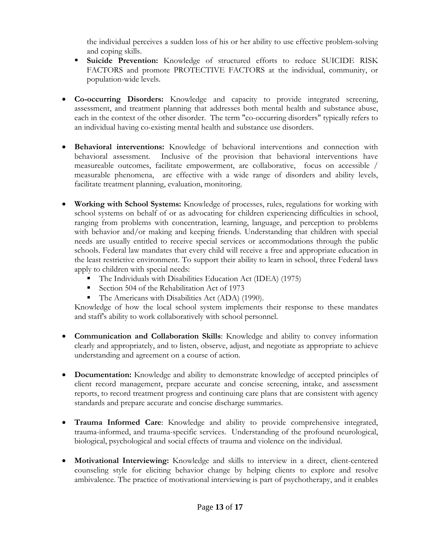the individual perceives a sudden loss of his or her ability to use effective problem-solving and coping skills.

- **Suicide Prevention:** Knowledge of structured efforts to reduce SUICIDE RISK FACTORS and promote PROTECTIVE FACTORS at the individual, community, or population-wide levels.
- **Co-occurring Disorders:** Knowledge and capacity to provide integrated screening, assessment, and treatment planning that addresses both mental health and substance abuse, each in the context of the other disorder. The term "co-occurring disorders" typically refers to an individual having co-existing mental health and substance use disorders.
- **Behavioral interventions:** Knowledge of behavioral interventions and connection with behavioral assessment. Inclusive of the provision that behavioral interventions have measureable outcomes, facilitate empowerment, are collaborative, focus on accessible / measurable phenomena, are effective with a wide range of disorders and ability levels, facilitate treatment planning, evaluation, monitoring.
- **Working with School Systems:** Knowledge of processes, rules, regulations for working with school systems on behalf of or as advocating for children experiencing difficulties in school, ranging from problems with concentration, learning, language, and perception to problems with behavior and/or making and keeping friends. Understanding that children with special needs are usually entitled to receive special services or accommodations through the public schools. Federal law mandates that every child will receive a free and appropriate education in the least restrictive environment. To support their ability to learn in school, three Federal laws apply to children with special needs:
	- The Individuals with Disabilities Education Act (IDEA) (1975)
	- Section 504 of the Rehabilitation Act of 1973
	- The Americans with Disabilities Act (ADA) (1990).

 Knowledge of how the local school system implements their response to these mandates and staff's ability to work collaboratively with school personnel.

- **Communication and Collaboration Skills**: Knowledge and ability to convey information clearly and appropriately, and to listen, observe, adjust, and negotiate as appropriate to achieve understanding and agreement on a course of action.
- **Documentation:** Knowledge and ability to demonstrate knowledge of accepted principles of client record management, prepare accurate and concise screening, intake, and assessment reports, to record treatment progress and continuing care plans that are consistent with agency standards and prepare accurate and concise discharge summaries.
- **Trauma Informed Care**: Knowledge and ability to provide comprehensive integrated, trauma-informed, and trauma-specific services. Understanding of the profound neurological, biological, psychological and social effects of trauma and violence on the individual.
- **Motivational Interviewing:** Knowledge and skills to interview in a direct, client-centered counseling style for eliciting behavior change by helping clients to explore and resolve ambivalence. The practice of motivational interviewing is part of psychotherapy, and it enables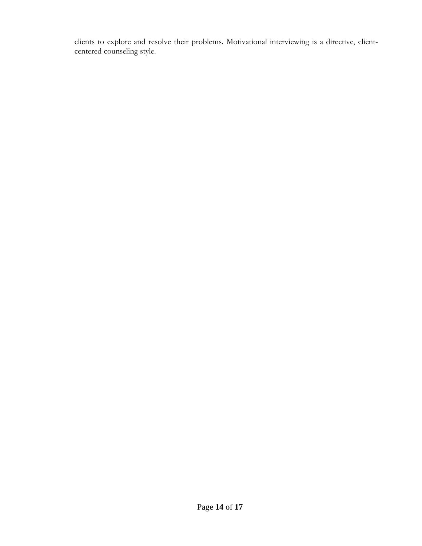clients to explore and resolve their problems. Motivational interviewing is a directive, clientcentered counseling style.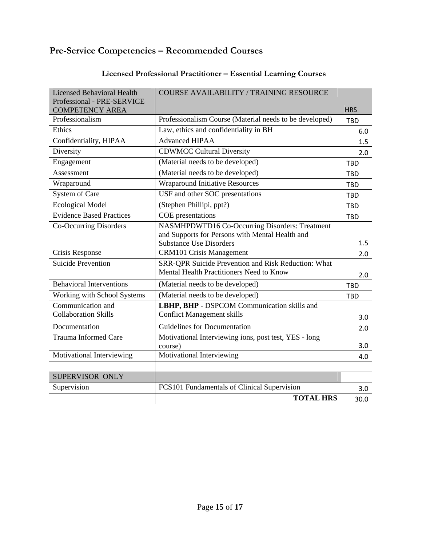# **Pre-Service Competencies – Recommended Courses**

| <b>Licensed Behavioral Health</b><br>Professional - PRE-SERVICE | <b>COURSE AVAILABILITY / TRAINING RESOURCE</b>                                         |            |
|-----------------------------------------------------------------|----------------------------------------------------------------------------------------|------------|
| <b>COMPETENCY AREA</b>                                          |                                                                                        | <b>HRS</b> |
| Professionalism                                                 | Professionalism Course (Material needs to be developed)                                | <b>TBD</b> |
| Ethics                                                          | Law, ethics and confidentiality in BH                                                  | 6.0        |
| Confidentiality, HIPAA                                          | <b>Advanced HIPAA</b>                                                                  | 1.5        |
| Diversity                                                       | <b>CDWMCC Cultural Diversity</b>                                                       | 2.0        |
| Engagement                                                      | (Material needs to be developed)                                                       | <b>TBD</b> |
| Assessment                                                      | (Material needs to be developed)                                                       | <b>TBD</b> |
| Wraparound                                                      | <b>Wraparound Initiative Resources</b>                                                 | <b>TBD</b> |
| System of Care                                                  | USF and other SOC presentations                                                        | <b>TBD</b> |
| <b>Ecological Model</b>                                         | (Stephen Phillipi, ppt?)                                                               | <b>TRD</b> |
| <b>Evidence Based Practices</b>                                 | COE presentations                                                                      | <b>TBD</b> |
| Co-Occurring Disorders                                          | NASMHPDWFD16 Co-Occurring Disorders: Treatment                                         |            |
|                                                                 | and Supports for Persons with Mental Health and                                        |            |
|                                                                 | <b>Substance Use Disorders</b>                                                         | 1.5        |
| Crisis Response<br><b>Suicide Prevention</b>                    | <b>CRM101 Crisis Management</b><br>SRR-QPR Suicide Prevention and Risk Reduction: What | 2.0        |
|                                                                 | Mental Health Practitioners Need to Know                                               |            |
|                                                                 |                                                                                        | 2.0        |
| <b>Behavioral Interventions</b>                                 | (Material needs to be developed)                                                       | <b>TBD</b> |
| Working with School Systems                                     | (Material needs to be developed)                                                       | <b>TBD</b> |
| Communication and<br><b>Collaboration Skills</b>                | LBHP, BHP - DSPCOM Communication skills and                                            |            |
|                                                                 | <b>Conflict Management skills</b>                                                      | 3.0        |
| Documentation                                                   | Guidelines for Documentation                                                           | 2.0        |
| <b>Trauma Informed Care</b>                                     | Motivational Interviewing ions, post test, YES - long<br>course)                       | 3.0        |
| Motivational Interviewing                                       | Motivational Interviewing                                                              | 4.0        |
|                                                                 |                                                                                        |            |
| SUPERVISOR ONLY                                                 |                                                                                        |            |
| Supervision                                                     | FCS101 Fundamentals of Clinical Supervision                                            | 3.0        |
|                                                                 | <b>TOTAL HRS</b>                                                                       | 30.0       |

# **Licensed Professional Practitioner – Essential Learning Courses**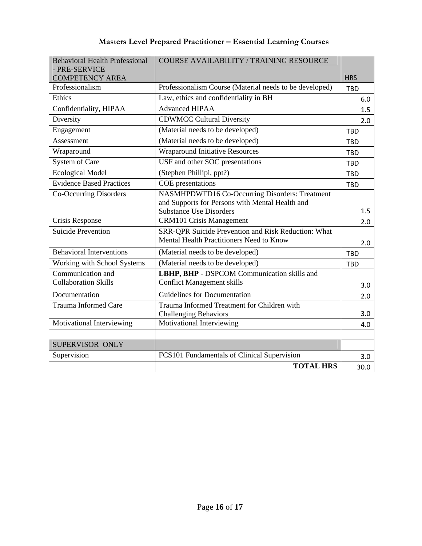| <b>Masters Level Prepared Practitioner - Essential Learning Courses</b> |  |
|-------------------------------------------------------------------------|--|
|-------------------------------------------------------------------------|--|

| <b>Behavioral Health Professional</b>     | <b>COURSE AVAILABILITY / TRAINING RESOURCE</b>          |                          |
|-------------------------------------------|---------------------------------------------------------|--------------------------|
| - PRE-SERVICE                             |                                                         |                          |
| <b>COMPETENCY AREA</b><br>Professionalism | Professionalism Course (Material needs to be developed) | <b>HRS</b><br><b>TBD</b> |
| Ethics                                    | Law, ethics and confidentiality in BH                   |                          |
|                                           | <b>Advanced HIPAA</b>                                   | 6.0                      |
| Confidentiality, HIPAA                    |                                                         | 1.5                      |
| Diversity                                 | <b>CDWMCC Cultural Diversity</b>                        | 2.0                      |
| Engagement                                | (Material needs to be developed)                        | <b>TBD</b>               |
| Assessment                                | (Material needs to be developed)                        | <b>TRD</b>               |
| Wraparound                                | <b>Wraparound Initiative Resources</b>                  | <b>TBD</b>               |
| <b>System of Care</b>                     | USF and other SOC presentations                         | <b>TBD</b>               |
| <b>Ecological Model</b>                   | (Stephen Phillipi, ppt?)                                | <b>TBD</b>               |
| <b>Evidence Based Practices</b>           | COE presentations                                       | <b>TBD</b>               |
| Co-Occurring Disorders                    | NASMHPDWFD16 Co-Occurring Disorders: Treatment          |                          |
|                                           | and Supports for Persons with Mental Health and         |                          |
|                                           | <b>Substance Use Disorders</b>                          | 1.5                      |
| Crisis Response                           | <b>CRM101 Crisis Management</b>                         | 2.0                      |
| <b>Suicide Prevention</b>                 | SRR-QPR Suicide Prevention and Risk Reduction: What     |                          |
|                                           | Mental Health Practitioners Need to Know                | 2.0                      |
| <b>Behavioral Interventions</b>           | (Material needs to be developed)                        | <b>TRD</b>               |
| Working with School Systems               | (Material needs to be developed)                        | <b>TBD</b>               |
| Communication and                         | LBHP, BHP - DSPCOM Communication skills and             |                          |
| <b>Collaboration Skills</b>               | <b>Conflict Management skills</b>                       | 3.0                      |
| Documentation                             | <b>Guidelines for Documentation</b>                     | 2.0                      |
| <b>Trauma Informed Care</b>               | Trauma Informed Treatment for Children with             |                          |
|                                           | <b>Challenging Behaviors</b>                            | 3.0                      |
| Motivational Interviewing                 | Motivational Interviewing                               | 4.0                      |
|                                           |                                                         |                          |
| SUPERVISOR ONLY                           |                                                         |                          |
| Supervision                               | FCS101 Fundamentals of Clinical Supervision             | 3.0                      |
|                                           | <b>TOTAL HRS</b>                                        | 30.0                     |